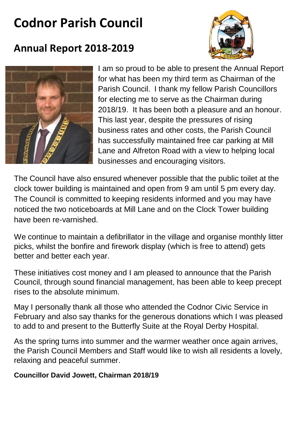# **Codnor Parish Council**



## **Annual Report 2018-2019**



I am so proud to be able to present the Annual Report for what has been my third term as Chairman of the Parish Council. I thank my fellow Parish Councillors for electing me to serve as the Chairman during 2018/19. It has been both a pleasure and an honour. This last year, despite the pressures of rising business rates and other costs, the Parish Council has successfully maintained free car parking at Mill Lane and Alfreton Road with a view to helping local businesses and encouraging visitors.

The Council have also ensured whenever possible that the public toilet at the clock tower building is maintained and open from 9 am until 5 pm every day. The Council is committed to keeping residents informed and you may have noticed the two noticeboards at Mill Lane and on the Clock Tower building have been re-varnished.

We continue to maintain a defibrillator in the village and organise monthly litter picks, whilst the bonfire and firework display (which is free to attend) gets better and better each year.

These initiatives cost money and I am pleased to announce that the Parish Council, through sound financial management, has been able to keep precept rises to the absolute minimum.

May I personally thank all those who attended the Codnor Civic Service in February and also say thanks for the generous donations which I was pleased to add to and present to the Butterfly Suite at the Royal Derby Hospital.

As the spring turns into summer and the warmer weather once again arrives, the Parish Council Members and Staff would like to wish all residents a lovely, relaxing and peaceful summer.

#### **Councillor David Jowett, Chairman 2018/19**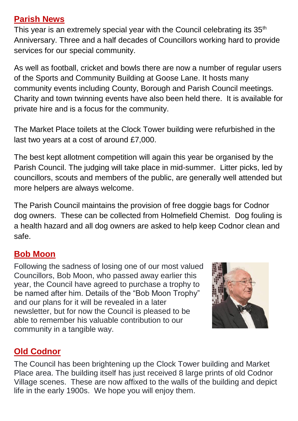## **Parish News**

This year is an extremely special year with the Council celebrating its  $35<sup>th</sup>$ Anniversary. Three and a half decades of Councillors working hard to provide services for our special community.

As well as football, cricket and bowls there are now a number of regular users of the Sports and Community Building at Goose Lane. It hosts many community events including County, Borough and Parish Council meetings. Charity and town twinning events have also been held there. It is available for private hire and is a focus for the community.

The Market Place toilets at the Clock Tower building were refurbished in the last two years at a cost of around £7,000.

The best kept allotment competition will again this year be organised by the Parish Council. The judging will take place in mid-summer. Litter picks, led by councillors, scouts and members of the public, are generally well attended but more helpers are always welcome.

The Parish Council maintains the provision of free doggie bags for Codnor dog owners. These can be collected from Holmefield Chemist. Dog fouling is a health hazard and all dog owners are asked to help keep Codnor clean and safe.

## **Bob Moon**

Following the sadness of losing one of our most valued Councillors, Bob Moon, who passed away earlier this year, the Council have agreed to purchase a trophy to be named after him. Details of the "Bob Moon Trophy" and our plans for it will be revealed in a later newsletter, but for now the Council is pleased to be able to remember his valuable contribution to our community in a tangible way.



## **Old Codnor**

The Council has been brightening up the Clock Tower building and Market Place area. The building itself has just received 8 large prints of old Codnor Village scenes. These are now affixed to the walls of the building and depict life in the early 1900s. We hope you will enjoy them.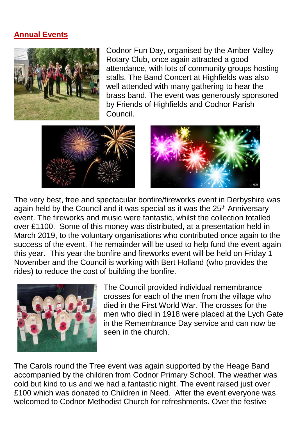#### **Annual Events**



Codnor Fun Day, organised by the Amber Valley Rotary Club, once again attracted a good attendance, with lots of community groups hosting stalls. The Band Concert at Highfields was also well attended with many gathering to hear the brass band. The event was generously sponsored by Friends of Highfields and Codnor Parish Council.





The very best, free and spectacular bonfire/fireworks event in Derbyshire was again held by the Council and it was special as it was the 25<sup>th</sup> Anniversary event. The fireworks and music were fantastic, whilst the collection totalled over £1100. Some of this money was distributed, at a presentation held in March 2019, to the voluntary organisations who contributed once again to the success of the event. The remainder will be used to help fund the event again this year. This year the bonfire and fireworks event will be held on Friday 1 November and the Council is working with Bert Holland (who provides the rides) to reduce the cost of building the bonfire.



The Council provided individual remembrance crosses for each of the men from the village who died in the First World War. The crosses for the men who died in 1918 were placed at the Lych Gate in the Remembrance Day service and can now be seen in the church.

The Carols round the Tree event was again supported by the Heage Band accompanied by the children from Codnor Primary School. The weather was cold but kind to us and we had a fantastic night. The event raised just over £100 which was donated to Children in Need. After the event everyone was welcomed to Codnor Methodist Church for refreshments. Over the festive